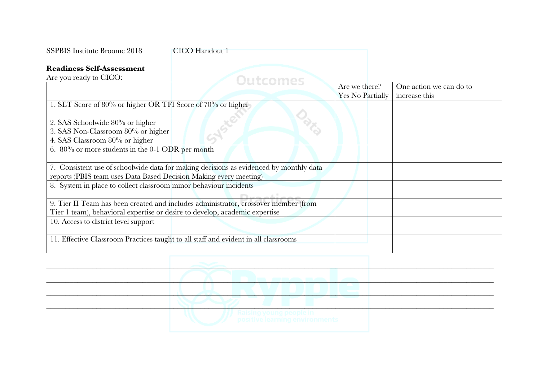| <b>SSPBIS Institute Broome 2018</b>                                                                     | <b>CICO</b> Handout 1                                                                  |                                   |                                          |
|---------------------------------------------------------------------------------------------------------|----------------------------------------------------------------------------------------|-----------------------------------|------------------------------------------|
| <b>Readiness Self-Assessment</b>                                                                        |                                                                                        |                                   |                                          |
| Are you ready to CICO:                                                                                  | امتشمانا ال                                                                            |                                   |                                          |
|                                                                                                         |                                                                                        | Are we there?<br>Yes No Partially | One action we can do to<br>increase this |
| 1. SET Score of 80% or higher OR TFI Score of 70% or higher                                             |                                                                                        |                                   |                                          |
| 2. SAS Schoolwide 80% or higher<br>3. SAS Non-Classroom 80% or higher<br>4. SAS Classroom 80% or higher |                                                                                        |                                   |                                          |
| 6. 80% or more students in the 0-1 ODR per month                                                        |                                                                                        |                                   |                                          |
| reports (PBIS team uses Data Based Decision Making every meeting)                                       | 7. Consistent use of schoolwide data for making decisions as evidenced by monthly data |                                   |                                          |
| 8. System in place to collect classroom minor behaviour incidents                                       |                                                                                        |                                   |                                          |
|                                                                                                         |                                                                                        |                                   |                                          |
| Tier 1 team), behavioral expertise or desire to develop, academic expertise                             | 9. Tier II Team has been created and includes administrator, crossover member (from    |                                   |                                          |
| 10. Access to district level support                                                                    |                                                                                        |                                   |                                          |
|                                                                                                         | 11. Effective Classroom Practices taught to all staff and evident in all classrooms    |                                   |                                          |
|                                                                                                         |                                                                                        |                                   |                                          |
|                                                                                                         |                                                                                        |                                   |                                          |
|                                                                                                         |                                                                                        |                                   |                                          |
|                                                                                                         |                                                                                        |                                   |                                          |
|                                                                                                         |                                                                                        |                                   |                                          |